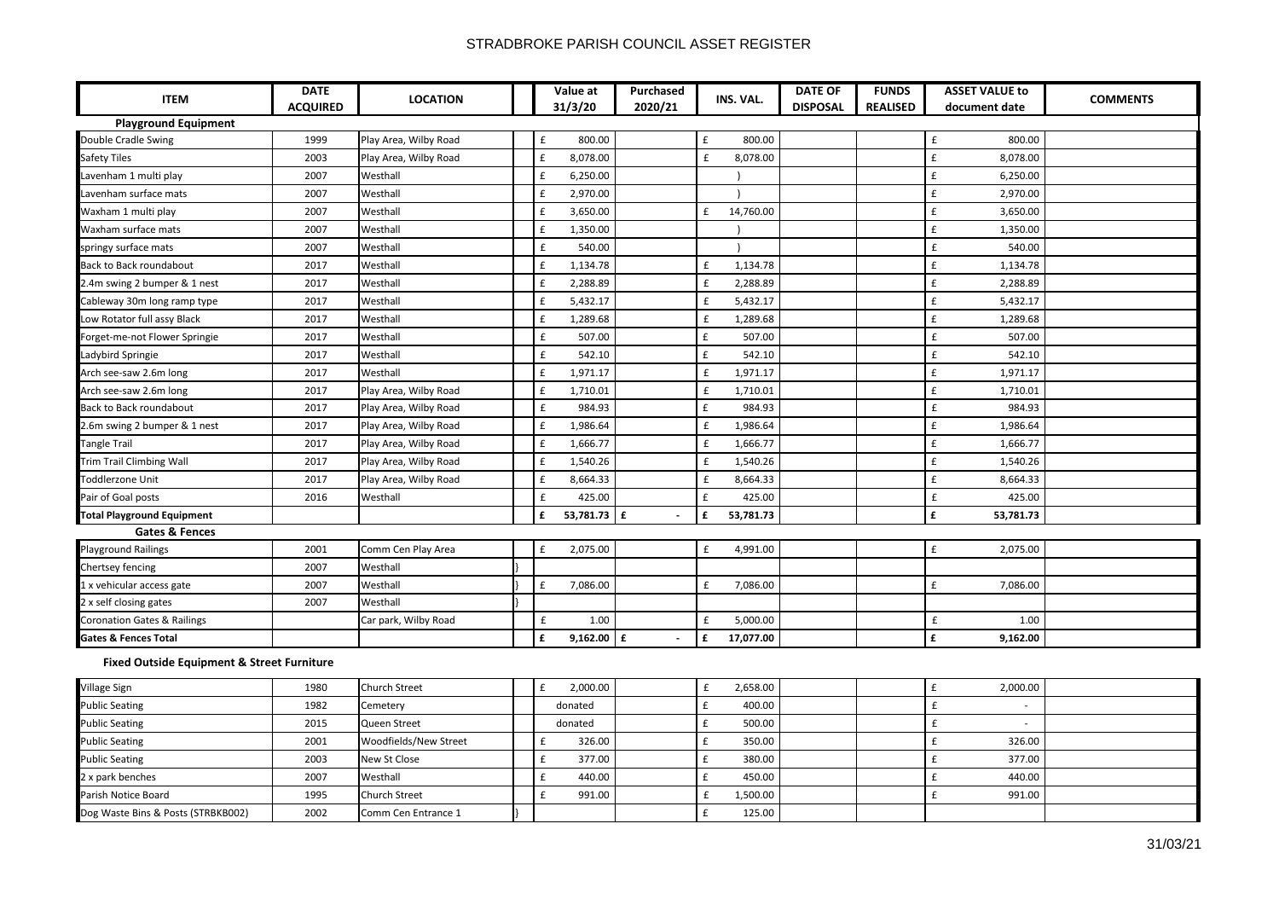## STRADBROKE PARISH COUNCIL ASSET REGISTER

| <b>ITEM</b>                                           | <b>DATE</b>     | <b>LOCATION</b>       |  | Value at                       | Purchased                     |                    | INS. VAL. | <b>DATE OF</b>  | <b>FUNDS</b>    | <b>ASSET VALUE to</b>          | <b>COMMENTS</b> |
|-------------------------------------------------------|-----------------|-----------------------|--|--------------------------------|-------------------------------|--------------------|-----------|-----------------|-----------------|--------------------------------|-----------------|
|                                                       | <b>ACQUIRED</b> |                       |  | 31/3/20                        | 2020/21                       |                    |           | <b>DISPOSAL</b> | <b>REALISED</b> | document date                  |                 |
| <b>Playground Equipment</b>                           |                 |                       |  |                                |                               |                    |           |                 |                 |                                |                 |
| Double Cradle Swing                                   | 1999            | Play Area, Wilby Road |  | 800.00<br>£                    |                               | £                  | 800.00    |                 |                 | £<br>800.00                    |                 |
| Safety Tiles                                          | 2003            | Play Area, Wilby Road |  | $\pmb{\mathsf{f}}$<br>8,078.00 |                               | £                  | 8,078.00  |                 |                 | $\pmb{\mathsf{f}}$<br>8,078.00 |                 |
| Lavenham 1 multi play                                 | 2007            | Westhall              |  | $\pmb{\mathsf{f}}$<br>6,250.00 |                               |                    |           |                 |                 | $\pmb{\mathsf{f}}$<br>6,250.00 |                 |
| Lavenham surface mats                                 | 2007            | Westhall              |  | $\pmb{\mathsf{f}}$<br>2,970.00 |                               |                    |           |                 |                 | $\pmb{\mathsf{f}}$<br>2,970.00 |                 |
| Waxham 1 multi play                                   | 2007            | Westhall              |  | $\pmb{\mathsf{f}}$<br>3,650.00 |                               | £                  | 14,760.00 |                 |                 | $\pmb{\mathsf{f}}$<br>3,650.00 |                 |
| Waxham surface mats                                   | 2007            | Westhall              |  | $\pmb{\mathsf{f}}$<br>1,350.00 |                               |                    |           |                 |                 | $\pmb{\mathsf{f}}$<br>1,350.00 |                 |
| springy surface mats                                  | 2007            | Westhall              |  | £<br>540.00                    |                               |                    |           |                 |                 | $\pmb{\mathsf{f}}$<br>540.00   |                 |
| <b>Back to Back roundabout</b>                        | 2017            | Westhall              |  | $\pmb{\mathsf{f}}$<br>1,134.78 |                               | £                  | 1,134.78  |                 |                 | £<br>1,134.78                  |                 |
| 2.4m swing 2 bumper & 1 nest                          | 2017            | Westhall              |  | $\pmb{\mathsf{f}}$<br>2,288.89 |                               | £                  | 2,288.89  |                 |                 | $\pmb{\mathsf{f}}$<br>2,288.89 |                 |
| Cableway 30m long ramp type                           | 2017            | Westhall              |  | $\pmb{\mathsf{f}}$<br>5,432.17 |                               | £                  | 5,432.17  |                 |                 | $\pmb{\mathsf{f}}$<br>5,432.17 |                 |
| Low Rotator full assy Black                           | 2017            | Westhall              |  | $\pounds$<br>1,289.68          |                               | £                  | 1,289.68  |                 |                 | $\pmb{\mathsf{f}}$<br>1,289.68 |                 |
| Forget-me-not Flower Springie                         | 2017            | Westhall              |  | $\pmb{\mathsf{f}}$<br>507.00   |                               | £                  | 507.00    |                 |                 | $\pmb{\mathsf{f}}$<br>507.00   |                 |
| Ladybird Springie                                     | 2017            | Westhall              |  | $\mathbf{f}$<br>542.10         |                               | £                  | 542.10    |                 |                 | £<br>542.10                    |                 |
| Arch see-saw 2.6m long                                | 2017            | Westhall              |  | $\pmb{\mathsf{f}}$<br>1,971.17 |                               | $\pmb{\mathsf{f}}$ | 1,971.17  |                 |                 | $\pmb{\mathsf{f}}$<br>1,971.17 |                 |
| Arch see-saw 2.6m long                                | 2017            | Play Area, Wilby Road |  | $\pmb{\mathsf{f}}$<br>1,710.01 |                               | £                  | 1,710.01  |                 |                 | $\pmb{\mathsf{f}}$<br>1,710.01 |                 |
| Back to Back roundabout                               | 2017            | Play Area, Wilby Road |  | £<br>984.93                    |                               | £                  | 984.93    |                 |                 | £<br>984.93                    |                 |
| 2.6m swing 2 bumper & 1 nest                          | 2017            | Play Area, Wilby Road |  | $\pmb{\mathsf{f}}$<br>1,986.64 |                               | £                  | 1,986.64  |                 |                 | $\pmb{\mathsf{f}}$<br>1,986.64 |                 |
| <b>Tangle Trail</b>                                   | 2017            | Play Area, Wilby Road |  | $\pmb{\mathsf{f}}$<br>1,666.77 |                               | £                  | 1,666.77  |                 |                 | $\pmb{\mathsf{f}}$<br>1,666.77 |                 |
| Trim Trail Climbing Wall                              | 2017            | Play Area, Wilby Road |  | $\pmb{\mathsf{f}}$<br>1,540.26 |                               | £                  | 1,540.26  |                 |                 | $\pmb{\mathsf{f}}$<br>1,540.26 |                 |
| Toddlerzone Unit                                      | 2017            | Play Area, Wilby Road |  | $\pmb{\mathsf{f}}$<br>8,664.33 |                               | £                  | 8,664.33  |                 |                 | £<br>8,664.33                  |                 |
| Pair of Goal posts                                    | 2016            | Westhall              |  | $\mathbf{f}$<br>425.00         |                               | £                  | 425.00    |                 |                 | £<br>425.00                    |                 |
| <b>Total Playground Equipment</b>                     |                 |                       |  | £<br>53,781.73                 | £<br>$\overline{\phantom{a}}$ | £                  | 53,781.73 |                 |                 | £<br>53,781.73                 |                 |
| <b>Gates &amp; Fences</b>                             |                 |                       |  |                                |                               |                    |           |                 |                 |                                |                 |
| <b>Playground Railings</b>                            | 2001            | Comm Cen Play Area    |  | $\pmb{\mathsf{f}}$<br>2,075.00 |                               | £                  | 4,991.00  |                 |                 | £<br>2,075.00                  |                 |
| Chertsey fencing                                      | 2007            | Westhall              |  |                                |                               |                    |           |                 |                 |                                |                 |
| 1 x vehicular access gate                             | 2007            | Westhall              |  | £<br>7,086.00                  |                               | £                  | 7,086.00  |                 |                 | $\pmb{\mathsf{f}}$<br>7,086.00 |                 |
| 2 x self closing gates                                | 2007            | Westhall              |  |                                |                               |                    |           |                 |                 |                                |                 |
| <b>Coronation Gates &amp; Railings</b>                |                 | Car park, Wilby Road  |  | £<br>1.00                      |                               | £                  | 5,000.00  |                 |                 | £<br>1.00                      |                 |
| <b>Gates &amp; Fences Total</b>                       |                 |                       |  | £<br>9,162.00                  | £                             | £                  | 17,077.00 |                 |                 | £<br>9,162.00                  |                 |
| <b>Fixed Outside Equipment &amp; Street Furniture</b> |                 |                       |  |                                |                               |                    |           |                 |                 |                                |                 |
| Village Sign                                          | 1980            | Church Street         |  | £<br>2,000.00                  |                               | £                  | 2,658.00  |                 |                 | £<br>2,000.00                  |                 |
| <b>Public Seating</b>                                 | 1982            | Cemetery              |  | donated                        |                               | $\pmb{\mathsf{f}}$ | 400.00    |                 |                 | $\pmb{\mathsf{f}}$<br>$\sim$   |                 |
| <b>Public Seating</b>                                 | 2015            | Queen Street          |  | donated                        |                               | £                  | 500.00    |                 |                 | $\pmb{\mathsf{f}}$             |                 |
| <b>Public Seating</b>                                 | 2001            | Woodfields/New Street |  | £<br>326.00                    |                               | £                  | 350.00    |                 |                 | £<br>326.00                    |                 |
| <b>Public Seating</b>                                 | 2003            | New St Close          |  | £<br>377.00                    |                               | £                  | 380.00    |                 |                 | £<br>377.00                    |                 |
| 2 x park benches                                      | 2007            | Westhall              |  | $\pmb{\mathsf{f}}$<br>440.00   |                               | £                  | 450.00    |                 |                 | £<br>440.00                    |                 |
| Parish Notice Board                                   | 1995            | Church Street         |  | $\pmb{\mathsf{f}}$<br>991.00   |                               | £                  | 1,500.00  |                 |                 | £<br>991.00                    |                 |
| Dog Waste Bins & Posts (STRBKB002)                    | 2002            | Comm Cen Entrance 1   |  |                                |                               | £                  | 125.00    |                 |                 |                                |                 |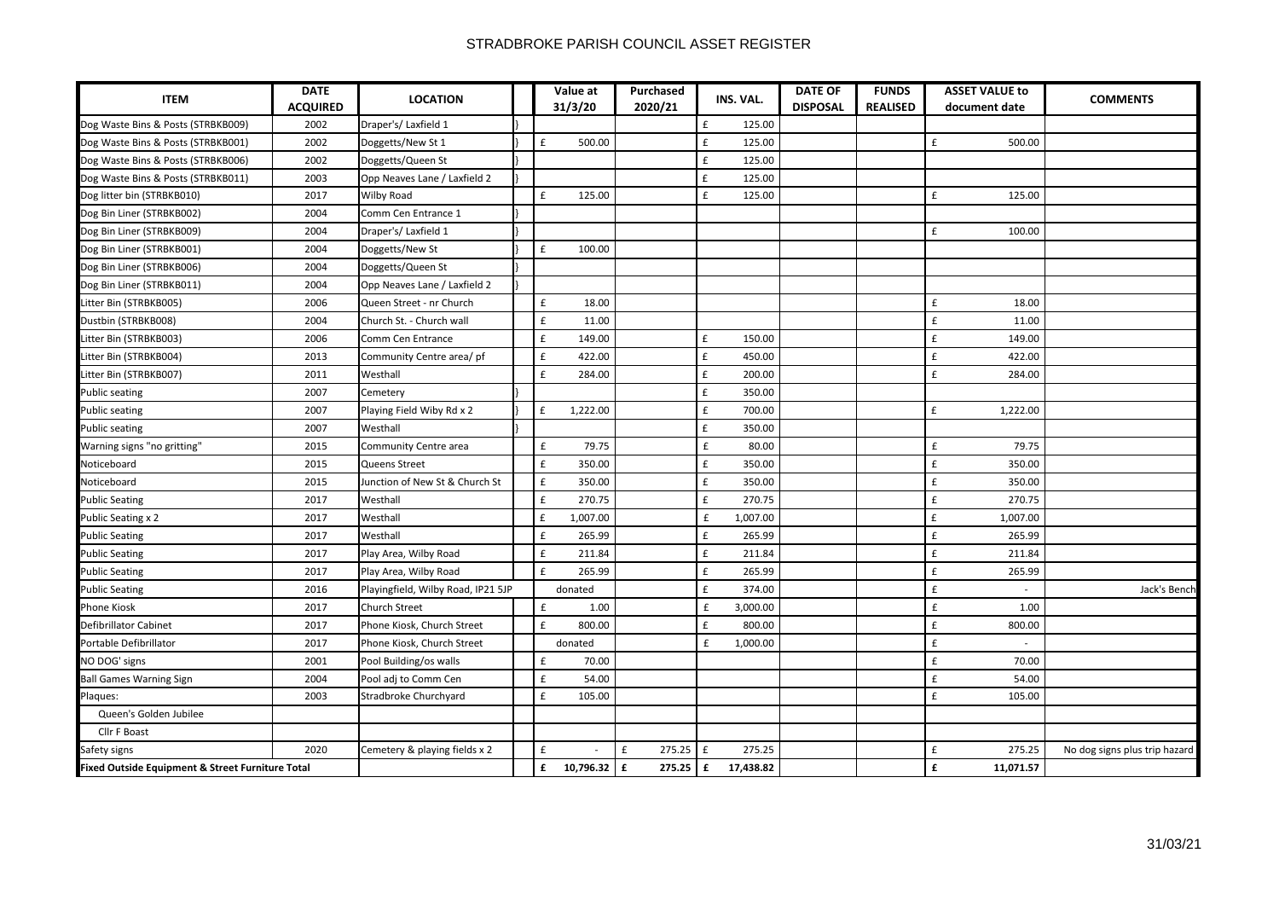| <b>ITEM</b>                                                                                                   | <b>DATE</b><br><b>ACQUIRED</b> | <b>LOCATION</b>                    | Value at<br>31/3/20 | Purchased<br>2020/21 |                    | INS. VAL. | <b>DATE OF</b><br><b>DISPOSAL</b> | <b>FUNDS</b><br><b>REALISED</b> | <b>ASSET VALUE to</b><br>document date | <b>COMMENTS</b>               |
|---------------------------------------------------------------------------------------------------------------|--------------------------------|------------------------------------|---------------------|----------------------|--------------------|-----------|-----------------------------------|---------------------------------|----------------------------------------|-------------------------------|
| Dog Waste Bins & Posts (STRBKB009)                                                                            | 2002                           | Draper's/Laxfield 1                |                     |                      | £                  | 125.00    |                                   |                                 |                                        |                               |
| Dog Waste Bins & Posts (STRBKB001)                                                                            | 2002                           | Doggetts/New St 1                  | £<br>500.00         |                      | £                  | 125.00    |                                   |                                 | £<br>500.00                            |                               |
| Dog Waste Bins & Posts (STRBKB006)                                                                            | 2002                           | Doggetts/Queen St                  |                     |                      | £                  | 125.00    |                                   |                                 |                                        |                               |
| Dog Waste Bins & Posts (STRBKB011)                                                                            | 2003                           | Opp Neaves Lane / Laxfield 2       |                     |                      | £                  | 125.00    |                                   |                                 |                                        |                               |
| Dog litter bin (STRBKB010)                                                                                    | 2017                           | Wilby Road                         | £<br>125.00         |                      | £                  | 125.00    |                                   |                                 | £<br>125.00                            |                               |
| Dog Bin Liner (STRBKB002)                                                                                     | 2004                           | Comm Cen Entrance 1                |                     |                      |                    |           |                                   |                                 |                                        |                               |
| Dog Bin Liner (STRBKB009)                                                                                     | 2004                           | Draper's/Laxfield 1                |                     |                      |                    |           |                                   |                                 | £<br>100.00                            |                               |
|                                                                                                               | 2004                           | Doggetts/New St                    | £<br>100.00         |                      |                    |           |                                   |                                 |                                        |                               |
|                                                                                                               | 2004                           | Doggetts/Queen St                  |                     |                      |                    |           |                                   |                                 |                                        |                               |
| Dog Bin Liner (STRBKB001)<br>Dog Bin Liner (STRBKB006)<br>Dog Bin Liner (STRBKB011)<br>Litter Bin (STRBKB005) | 2004                           | Opp Neaves Lane / Laxfield 2       |                     |                      |                    |           |                                   |                                 |                                        |                               |
|                                                                                                               | 2006                           | Queen Street - nr Church           | £<br>18.00          |                      |                    |           |                                   |                                 | £<br>18.00                             |                               |
| Dustbin (STRBKB008)                                                                                           | 2004                           | Church St. - Church wall           | £<br>11.00          |                      |                    |           |                                   |                                 | $\pmb{\mathsf{f}}$<br>11.00            |                               |
| Litter Bin (STRBKB003)                                                                                        | 2006                           | Comm Cen Entrance                  | £<br>149.00         |                      | £                  | 150.00    |                                   |                                 | £<br>149.00                            |                               |
| Litter Bin (STRBKB004)                                                                                        | 2013                           | Community Centre area/ pf          | £<br>422.00         |                      | £                  | 450.00    |                                   |                                 | £<br>422.00                            |                               |
| Litter Bin (STRBKB007)                                                                                        | 2011                           | Westhall                           | £<br>284.00         |                      | £                  | 200.00    |                                   |                                 | £<br>284.00                            |                               |
| <b>Public seating</b>                                                                                         | 2007                           | Cemetery                           |                     |                      | £                  | 350.00    |                                   |                                 |                                        |                               |
| <b>Public seating</b>                                                                                         | 2007                           | Playing Field Wiby Rd x 2          | £<br>1,222.00       |                      | £                  | 700.00    |                                   |                                 | £<br>1,222.00                          |                               |
| <b>Public seating</b>                                                                                         | 2007                           | Westhall                           |                     |                      | £                  | 350.00    |                                   |                                 |                                        |                               |
| Warning signs "no gritting"                                                                                   | 2015                           | Community Centre area              | £<br>79.75          |                      | $\pmb{\mathsf{f}}$ | 80.00     |                                   |                                 | £<br>79.75                             |                               |
| Noticeboard                                                                                                   | 2015                           | Queens Street                      | £<br>350.00         |                      | £                  | 350.00    |                                   |                                 | £<br>350.00                            |                               |
| Noticeboard                                                                                                   | 2015                           | Junction of New St & Church St     | £<br>350.00         |                      | £                  | 350.00    |                                   |                                 | £<br>350.00                            |                               |
| <b>Public Seating</b>                                                                                         | 2017                           | Westhall                           | £<br>270.75         |                      | £                  | 270.75    |                                   |                                 | £<br>270.75                            |                               |
| <b>Public Seating x 2</b>                                                                                     | 2017                           | Westhall                           | £<br>1,007.00       |                      | £                  | 1,007.00  |                                   |                                 | £<br>1,007.00                          |                               |
| <b>Public Seating</b>                                                                                         | 2017                           | Westhall                           | £<br>265.99         |                      | £                  | 265.99    |                                   |                                 | £<br>265.99                            |                               |
| <b>Public Seating</b>                                                                                         | 2017                           | Play Area, Wilby Road              | £<br>211.84         |                      | £                  | 211.84    |                                   |                                 | £<br>211.84                            |                               |
| <b>Public Seating</b>                                                                                         | 2017                           | Play Area, Wilby Road              | £<br>265.99         |                      | £                  | 265.99    |                                   |                                 | £<br>265.99                            |                               |
| <b>Public Seating</b>                                                                                         | 2016                           | Playingfield, Wilby Road, IP21 5JP | donated             |                      | £                  | 374.00    |                                   |                                 | £<br>$\sim$                            | Jack's Bench                  |
| <b>Phone Kiosk</b>                                                                                            | 2017                           | <b>Church Street</b>               | £<br>1.00           |                      | £                  | 3,000.00  |                                   |                                 | £<br>1.00                              |                               |
| Defibrillator Cabinet                                                                                         | 2017                           | Phone Kiosk, Church Street         | £<br>800.00         |                      | £                  | 800.00    |                                   |                                 | £<br>800.00                            |                               |
| Portable Defibrillator                                                                                        | 2017                           | Phone Kiosk, Church Street         | donated             |                      | £                  | 1,000.00  |                                   |                                 | $\pmb{\mathsf{f}}$<br>$\sim$           |                               |
| NO DOG' signs                                                                                                 | 2001                           | Pool Building/os walls             | £<br>70.00          |                      |                    |           |                                   |                                 | $\pmb{\mathsf{f}}$<br>70.00            |                               |
| <b>Ball Games Warning Sign</b>                                                                                | 2004                           | Pool adj to Comm Cen               | £<br>54.00          |                      |                    |           |                                   |                                 | $\pmb{\mathsf{f}}$<br>54.00            |                               |
| Plaques:                                                                                                      | 2003                           | Stradbroke Churchyard              | £<br>105.00         |                      |                    |           |                                   |                                 | £<br>105.00                            |                               |
| Queen's Golden Jubilee                                                                                        |                                |                                    |                     |                      |                    |           |                                   |                                 |                                        |                               |
| Cllr F Boast                                                                                                  |                                |                                    |                     |                      |                    |           |                                   |                                 |                                        |                               |
|                                                                                                               | 2020                           | Cemetery & playing fields x 2      | £                   | £<br>275.25          | £                  | 275.25    |                                   |                                 | £<br>275.25                            | No dog signs plus trip hazard |
| Safety signs<br>Fixed Outside Equipment & Street Furniture Total                                              |                                |                                    | £<br>10,796.32      | £<br>$275.25$ $E$    |                    | 17,438.82 |                                   |                                 | £<br>11,071.57                         |                               |